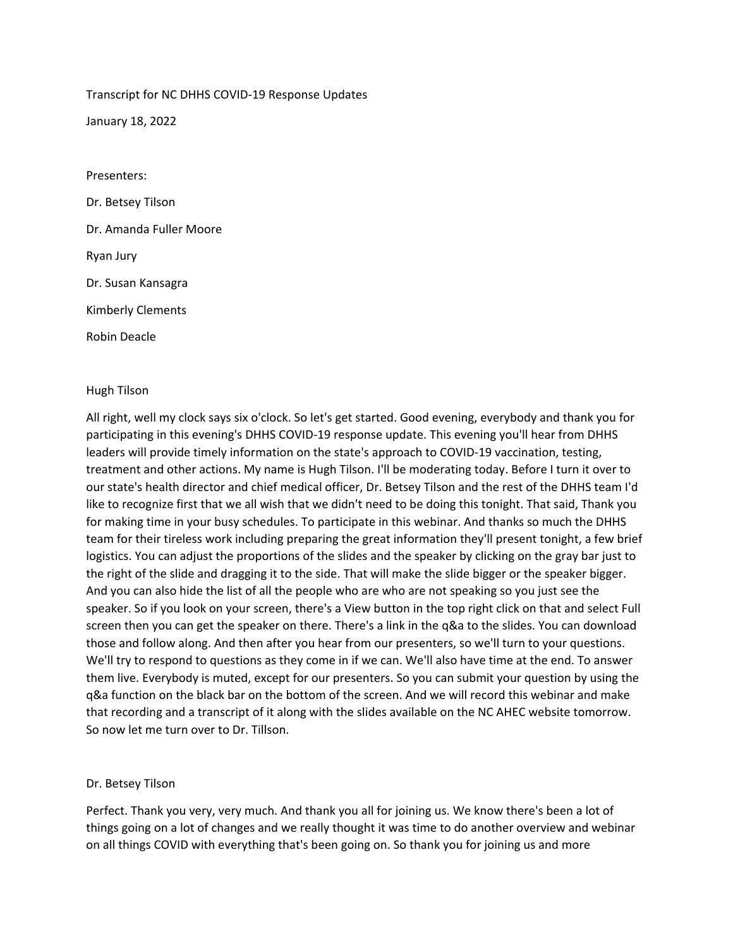# Transcript for NC DHHS COVID-19 Response Updates

January 18, 2022

Presenters: Dr. Betsey Tilson Dr. Amanda Fuller Moore Ryan Jury Dr. Susan Kansagra Kimberly Clements Robin Deacle

## Hugh Tilson

All right, well my clock says six o'clock. So let's get started. Good evening, everybody and thank you for participating in this evening's DHHS COVID-19 response update. This evening you'll hear from DHHS leaders will provide timely information on the state's approach to COVID-19 vaccination, testing, treatment and other actions. My name is Hugh Tilson. I'll be moderating today. Before I turn it over to our state's health director and chief medical officer, Dr. Betsey Tilson and the rest of the DHHS team I'd like to recognize first that we all wish that we didn't need to be doing this tonight. That said, Thank you for making time in your busy schedules. To participate in this webinar. And thanks so much the DHHS team for their tireless work including preparing the great information they'll present tonight, a few brief logistics. You can adjust the proportions of the slides and the speaker by clicking on the gray bar just to the right of the slide and dragging it to the side. That will make the slide bigger or the speaker bigger. And you can also hide the list of all the people who are who are not speaking so you just see the speaker. So if you look on your screen, there's a View button in the top right click on that and select Full screen then you can get the speaker on there. There's a link in the q&a to the slides. You can download those and follow along. And then after you hear from our presenters, so we'll turn to your questions. We'll try to respond to questions as they come in if we can. We'll also have time at the end. To answer them live. Everybody is muted, except for our presenters. So you can submit your question by using the q&a function on the black bar on the bottom of the screen. And we will record this webinar and make that recording and a transcript of it along with the slides available on the NC AHEC website tomorrow. So now let me turn over to Dr. Tillson.

## Dr. Betsey Tilson

Perfect. Thank you very, very much. And thank you all for joining us. We know there's been a lot of things going on a lot of changes and we really thought it was time to do another overview and webinar on all things COVID with everything that's been going on. So thank you for joining us and more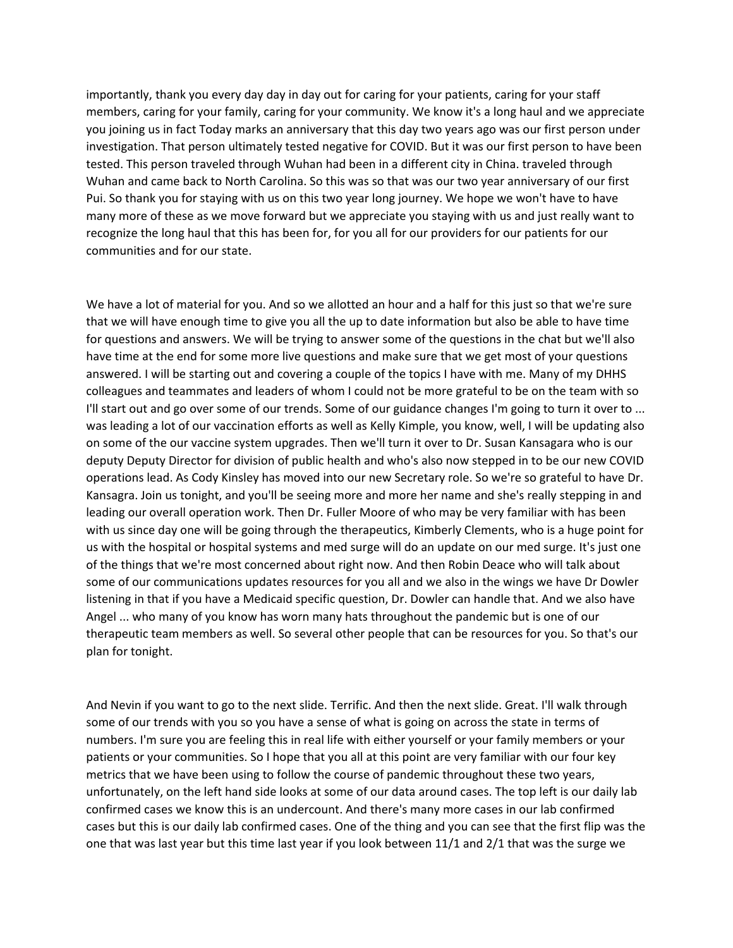importantly, thank you every day day in day out for caring for your patients, caring for your staff members, caring for your family, caring for your community. We know it's a long haul and we appreciate you joining us in fact Today marks an anniversary that this day two years ago was our first person under investigation. That person ultimately tested negative for COVID. But it was our first person to have been tested. This person traveled through Wuhan had been in a different city in China. traveled through Wuhan and came back to North Carolina. So this was so that was our two year anniversary of our first Pui. So thank you for staying with us on this two year long journey. We hope we won't have to have many more of these as we move forward but we appreciate you staying with us and just really want to recognize the long haul that this has been for, for you all for our providers for our patients for our communities and for our state.

We have a lot of material for you. And so we allotted an hour and a half for this just so that we're sure that we will have enough time to give you all the up to date information but also be able to have time for questions and answers. We will be trying to answer some of the questions in the chat but we'll also have time at the end for some more live questions and make sure that we get most of your questions answered. I will be starting out and covering a couple of the topics I have with me. Many of my DHHS colleagues and teammates and leaders of whom I could not be more grateful to be on the team with so I'll start out and go over some of our trends. Some of our guidance changes I'm going to turn it over to ... was leading a lot of our vaccination efforts as well as Kelly Kimple, you know, well, I will be updating also on some of the our vaccine system upgrades. Then we'll turn it over to Dr. Susan Kansagara who is our deputy Deputy Director for division of public health and who's also now stepped in to be our new COVID operations lead. As Cody Kinsley has moved into our new Secretary role. So we're so grateful to have Dr. Kansagra. Join us tonight, and you'll be seeing more and more her name and she's really stepping in and leading our overall operation work. Then Dr. Fuller Moore of who may be very familiar with has been with us since day one will be going through the therapeutics, Kimberly Clements, who is a huge point for us with the hospital or hospital systems and med surge will do an update on our med surge. It's just one of the things that we're most concerned about right now. And then Robin Deace who will talk about some of our communications updates resources for you all and we also in the wings we have Dr Dowler listening in that if you have a Medicaid specific question, Dr. Dowler can handle that. And we also have Angel ... who many of you know has worn many hats throughout the pandemic but is one of our therapeutic team members as well. So several other people that can be resources for you. So that's our plan for tonight.

And Nevin if you want to go to the next slide. Terrific. And then the next slide. Great. I'll walk through some of our trends with you so you have a sense of what is going on across the state in terms of numbers. I'm sure you are feeling this in real life with either yourself or your family members or your patients or your communities. So I hope that you all at this point are very familiar with our four key metrics that we have been using to follow the course of pandemic throughout these two years, unfortunately, on the left hand side looks at some of our data around cases. The top left is our daily lab confirmed cases we know this is an undercount. And there's many more cases in our lab confirmed cases but this is our daily lab confirmed cases. One of the thing and you can see that the first flip was the one that was last year but this time last year if you look between 11/1 and 2/1 that was the surge we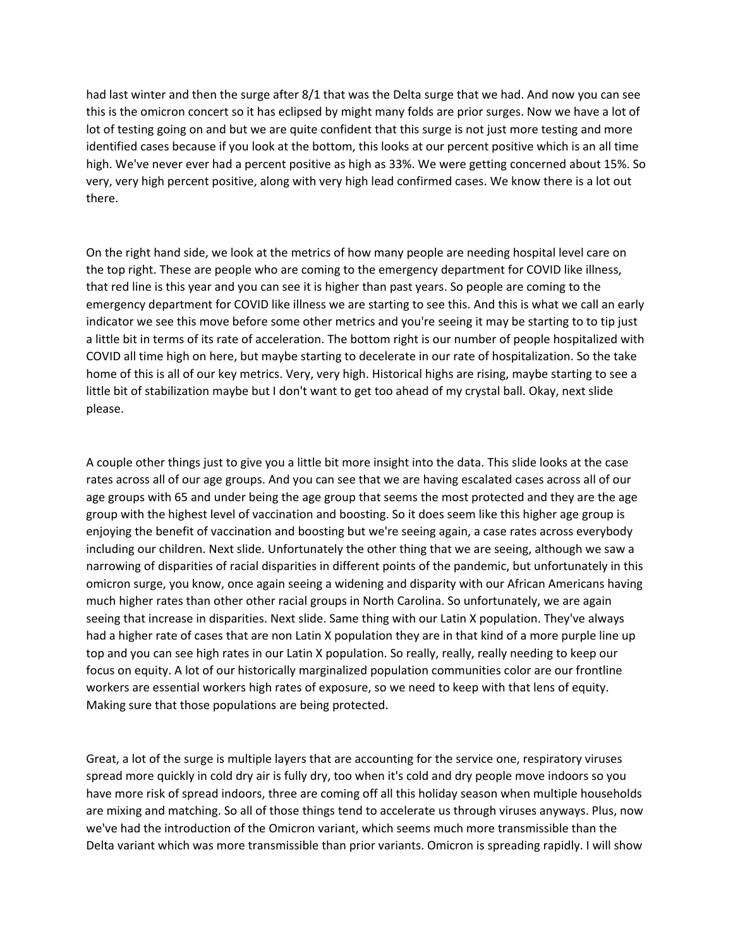had last winter and then the surge after 8/1 that was the Delta surge that we had. And now you can see this is the omicron concert so it has eclipsed by might many folds are prior surges. Now we have a lot of lot of testing going on and but we are quite confident that this surge is not just more testing and more identified cases because if you look at the bottom, this looks at our percent positive which is an all time high. We've never ever had a percent positive as high as 33%. We were getting concerned about 15%. So very, very high percent positive, along with very high lead confirmed cases. We know there is a lot out there.

On the right hand side, we look at the metrics of how many people are needing hospital level care on the top right. These are people who are coming to the emergency department for COVID like illness, that red line is this year and you can see it is higher than past years. So people are coming to the emergency department for COVID like illness we are starting to see this. And this is what we call an early indicator we see this move before some other metrics and you're seeing it may be starting to to tip just a little bit in terms of its rate of acceleration. The bottom right is our number of people hospitalized with COVID all time high on here, but maybe starting to decelerate in our rate of hospitalization. So the take home of this is all of our key metrics. Very, very high. Historical highs are rising, maybe starting to see a little bit of stabilization maybe but I don't want to get too ahead of my crystal ball. Okay, next slide please.

A couple other things just to give you a little bit more insight into the data. This slide looks at the case rates across all of our age groups. And you can see that we are having escalated cases across all of our age groups with 65 and under being the age group that seems the most protected and they are the age group with the highest level of vaccination and boosting. So it does seem like this higher age group is enjoying the benefit of vaccination and boosting but we're seeing again, a case rates across everybody including our children. Next slide. Unfortunately the other thing that we are seeing, although we saw a narrowing of disparities of racial disparities in different points of the pandemic, but unfortunately in this omicron surge, you know, once again seeing a widening and disparity with our African Americans having much higher rates than other other racial groups in North Carolina. So unfortunately, we are again seeing that increase in disparities. Next slide. Same thing with our Latin X population. They've always had a higher rate of cases that are non Latin X population they are in that kind of a more purple line up top and you can see high rates in our Latin X population. So really, really, really needing to keep our focus on equity. A lot of our historically marginalized population communities color are our frontline workers are essential workers high rates of exposure, so we need to keep with that lens of equity. Making sure that those populations are being protected.

Great, a lot of the surge is multiple layers that are accounting for the service one, respiratory viruses spread more quickly in cold dry air is fully dry, too when it's cold and dry people move indoors so you have more risk of spread indoors, three are coming off all this holiday season when multiple households are mixing and matching. So all of those things tend to accelerate us through viruses anyways. Plus, now we've had the introduction of the Omicron variant, which seems much more transmissible than the Delta variant which was more transmissible than prior variants. Omicron is spreading rapidly. I will show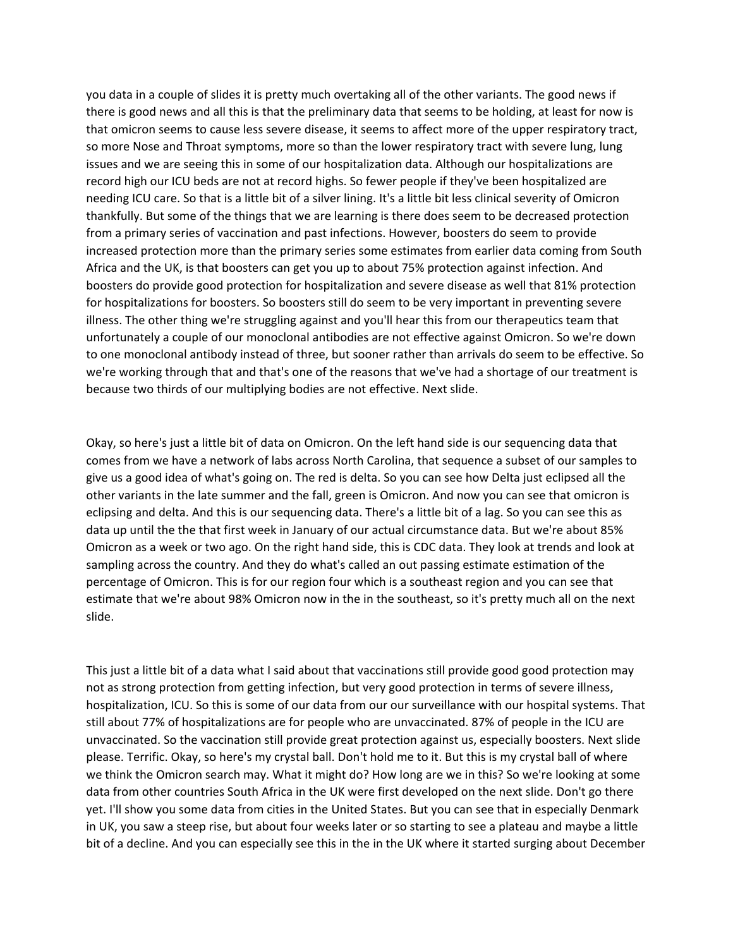you data in a couple of slides it is pretty much overtaking all of the other variants. The good news if there is good news and all this is that the preliminary data that seems to be holding, at least for now is that omicron seems to cause less severe disease, it seems to affect more of the upper respiratory tract, so more Nose and Throat symptoms, more so than the lower respiratory tract with severe lung, lung issues and we are seeing this in some of our hospitalization data. Although our hospitalizations are record high our ICU beds are not at record highs. So fewer people if they've been hospitalized are needing ICU care. So that is a little bit of a silver lining. It's a little bit less clinical severity of Omicron thankfully. But some of the things that we are learning is there does seem to be decreased protection from a primary series of vaccination and past infections. However, boosters do seem to provide increased protection more than the primary series some estimates from earlier data coming from South Africa and the UK, is that boosters can get you up to about 75% protection against infection. And boosters do provide good protection for hospitalization and severe disease as well that 81% protection for hospitalizations for boosters. So boosters still do seem to be very important in preventing severe illness. The other thing we're struggling against and you'll hear this from our therapeutics team that unfortunately a couple of our monoclonal antibodies are not effective against Omicron. So we're down to one monoclonal antibody instead of three, but sooner rather than arrivals do seem to be effective. So we're working through that and that's one of the reasons that we've had a shortage of our treatment is because two thirds of our multiplying bodies are not effective. Next slide.

Okay, so here's just a little bit of data on Omicron. On the left hand side is our sequencing data that comes from we have a network of labs across North Carolina, that sequence a subset of our samples to give us a good idea of what's going on. The red is delta. So you can see how Delta just eclipsed all the other variants in the late summer and the fall, green is Omicron. And now you can see that omicron is eclipsing and delta. And this is our sequencing data. There's a little bit of a lag. So you can see this as data up until the the that first week in January of our actual circumstance data. But we're about 85% Omicron as a week or two ago. On the right hand side, this is CDC data. They look at trends and look at sampling across the country. And they do what's called an out passing estimate estimation of the percentage of Omicron. This is for our region four which is a southeast region and you can see that estimate that we're about 98% Omicron now in the in the southeast, so it's pretty much all on the next slide.

This just a little bit of a data what I said about that vaccinations still provide good good protection may not as strong protection from getting infection, but very good protection in terms of severe illness, hospitalization, ICU. So this is some of our data from our our surveillance with our hospital systems. That still about 77% of hospitalizations are for people who are unvaccinated. 87% of people in the ICU are unvaccinated. So the vaccination still provide great protection against us, especially boosters. Next slide please. Terrific. Okay, so here's my crystal ball. Don't hold me to it. But this is my crystal ball of where we think the Omicron search may. What it might do? How long are we in this? So we're looking at some data from other countries South Africa in the UK were first developed on the next slide. Don't go there yet. I'll show you some data from cities in the United States. But you can see that in especially Denmark in UK, you saw a steep rise, but about four weeks later or so starting to see a plateau and maybe a little bit of a decline. And you can especially see this in the in the UK where it started surging about December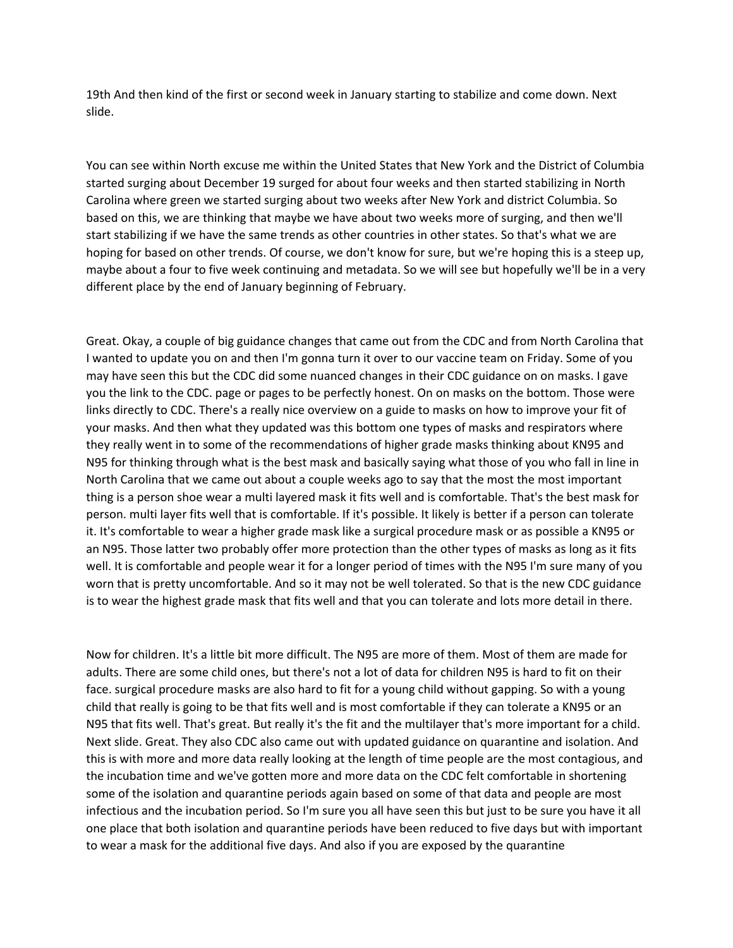19th And then kind of the first or second week in January starting to stabilize and come down. Next slide.

You can see within North excuse me within the United States that New York and the District of Columbia started surging about December 19 surged for about four weeks and then started stabilizing in North Carolina where green we started surging about two weeks after New York and district Columbia. So based on this, we are thinking that maybe we have about two weeks more of surging, and then we'll start stabilizing if we have the same trends as other countries in other states. So that's what we are hoping for based on other trends. Of course, we don't know for sure, but we're hoping this is a steep up, maybe about a four to five week continuing and metadata. So we will see but hopefully we'll be in a very different place by the end of January beginning of February.

Great. Okay, a couple of big guidance changes that came out from the CDC and from North Carolina that I wanted to update you on and then I'm gonna turn it over to our vaccine team on Friday. Some of you may have seen this but the CDC did some nuanced changes in their CDC guidance on on masks. I gave you the link to the CDC. page or pages to be perfectly honest. On on masks on the bottom. Those were links directly to CDC. There's a really nice overview on a guide to masks on how to improve your fit of your masks. And then what they updated was this bottom one types of masks and respirators where they really went in to some of the recommendations of higher grade masks thinking about KN95 and N95 for thinking through what is the best mask and basically saying what those of you who fall in line in North Carolina that we came out about a couple weeks ago to say that the most the most important thing is a person shoe wear a multi layered mask it fits well and is comfortable. That's the best mask for person. multi layer fits well that is comfortable. If it's possible. It likely is better if a person can tolerate it. It's comfortable to wear a higher grade mask like a surgical procedure mask or as possible a KN95 or an N95. Those latter two probably offer more protection than the other types of masks as long as it fits well. It is comfortable and people wear it for a longer period of times with the N95 I'm sure many of you worn that is pretty uncomfortable. And so it may not be well tolerated. So that is the new CDC guidance is to wear the highest grade mask that fits well and that you can tolerate and lots more detail in there.

Now for children. It's a little bit more difficult. The N95 are more of them. Most of them are made for adults. There are some child ones, but there's not a lot of data for children N95 is hard to fit on their face. surgical procedure masks are also hard to fit for a young child without gapping. So with a young child that really is going to be that fits well and is most comfortable if they can tolerate a KN95 or an N95 that fits well. That's great. But really it's the fit and the multilayer that's more important for a child. Next slide. Great. They also CDC also came out with updated guidance on quarantine and isolation. And this is with more and more data really looking at the length of time people are the most contagious, and the incubation time and we've gotten more and more data on the CDC felt comfortable in shortening some of the isolation and quarantine periods again based on some of that data and people are most infectious and the incubation period. So I'm sure you all have seen this but just to be sure you have it all one place that both isolation and quarantine periods have been reduced to five days but with important to wear a mask for the additional five days. And also if you are exposed by the quarantine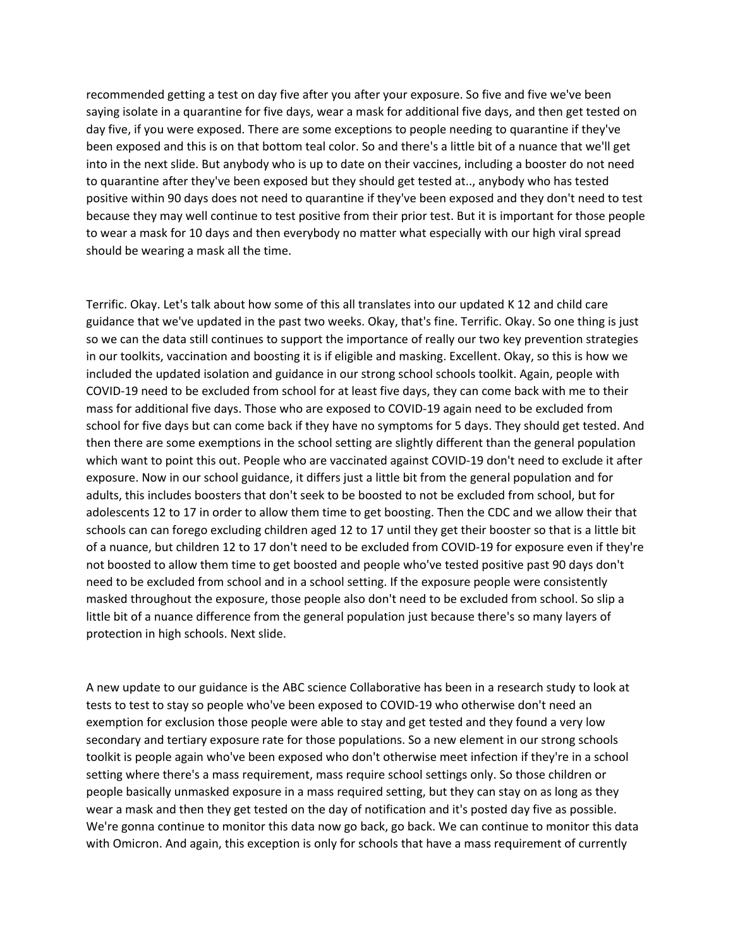recommended getting a test on day five after you after your exposure. So five and five we've been saying isolate in a quarantine for five days, wear a mask for additional five days, and then get tested on day five, if you were exposed. There are some exceptions to people needing to quarantine if they've been exposed and this is on that bottom teal color. So and there's a little bit of a nuance that we'll get into in the next slide. But anybody who is up to date on their vaccines, including a booster do not need to quarantine after they've been exposed but they should get tested at.., anybody who has tested positive within 90 days does not need to quarantine if they've been exposed and they don't need to test because they may well continue to test positive from their prior test. But it is important for those people to wear a mask for 10 days and then everybody no matter what especially with our high viral spread should be wearing a mask all the time.

Terrific. Okay. Let's talk about how some of this all translates into our updated K 12 and child care guidance that we've updated in the past two weeks. Okay, that's fine. Terrific. Okay. So one thing is just so we can the data still continues to support the importance of really our two key prevention strategies in our toolkits, vaccination and boosting it is if eligible and masking. Excellent. Okay, so this is how we included the updated isolation and guidance in our strong school schools toolkit. Again, people with COVID-19 need to be excluded from school for at least five days, they can come back with me to their mass for additional five days. Those who are exposed to COVID-19 again need to be excluded from school for five days but can come back if they have no symptoms for 5 days. They should get tested. And then there are some exemptions in the school setting are slightly different than the general population which want to point this out. People who are vaccinated against COVID-19 don't need to exclude it after exposure. Now in our school guidance, it differs just a little bit from the general population and for adults, this includes boosters that don't seek to be boosted to not be excluded from school, but for adolescents 12 to 17 in order to allow them time to get boosting. Then the CDC and we allow their that schools can can forego excluding children aged 12 to 17 until they get their booster so that is a little bit of a nuance, but children 12 to 17 don't need to be excluded from COVID-19 for exposure even if they're not boosted to allow them time to get boosted and people who've tested positive past 90 days don't need to be excluded from school and in a school setting. If the exposure people were consistently masked throughout the exposure, those people also don't need to be excluded from school. So slip a little bit of a nuance difference from the general population just because there's so many layers of protection in high schools. Next slide.

A new update to our guidance is the ABC science Collaborative has been in a research study to look at tests to test to stay so people who've been exposed to COVID-19 who otherwise don't need an exemption for exclusion those people were able to stay and get tested and they found a very low secondary and tertiary exposure rate for those populations. So a new element in our strong schools toolkit is people again who've been exposed who don't otherwise meet infection if they're in a school setting where there's a mass requirement, mass require school settings only. So those children or people basically unmasked exposure in a mass required setting, but they can stay on as long as they wear a mask and then they get tested on the day of notification and it's posted day five as possible. We're gonna continue to monitor this data now go back, go back. We can continue to monitor this data with Omicron. And again, this exception is only for schools that have a mass requirement of currently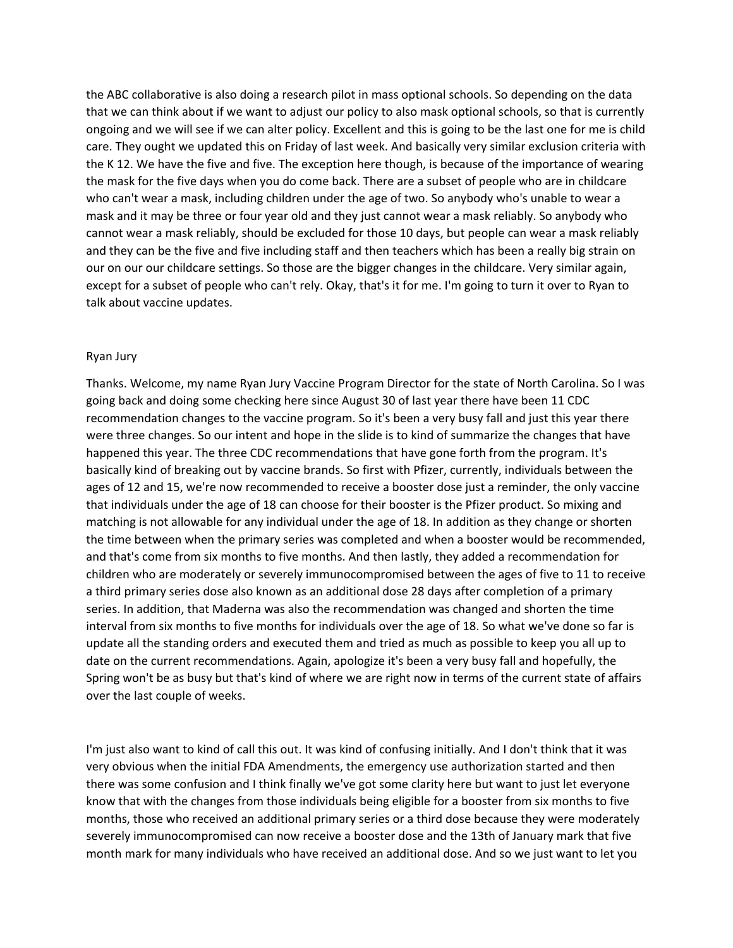the ABC collaborative is also doing a research pilot in mass optional schools. So depending on the data that we can think about if we want to adjust our policy to also mask optional schools, so that is currently ongoing and we will see if we can alter policy. Excellent and this is going to be the last one for me is child care. They ought we updated this on Friday of last week. And basically very similar exclusion criteria with the K 12. We have the five and five. The exception here though, is because of the importance of wearing the mask for the five days when you do come back. There are a subset of people who are in childcare who can't wear a mask, including children under the age of two. So anybody who's unable to wear a mask and it may be three or four year old and they just cannot wear a mask reliably. So anybody who cannot wear a mask reliably, should be excluded for those 10 days, but people can wear a mask reliably and they can be the five and five including staff and then teachers which has been a really big strain on our on our our childcare settings. So those are the bigger changes in the childcare. Very similar again, except for a subset of people who can't rely. Okay, that's it for me. I'm going to turn it over to Ryan to talk about vaccine updates.

### Ryan Jury

Thanks. Welcome, my name Ryan Jury Vaccine Program Director for the state of North Carolina. So I was going back and doing some checking here since August 30 of last year there have been 11 CDC recommendation changes to the vaccine program. So it's been a very busy fall and just this year there were three changes. So our intent and hope in the slide is to kind of summarize the changes that have happened this year. The three CDC recommendations that have gone forth from the program. It's basically kind of breaking out by vaccine brands. So first with Pfizer, currently, individuals between the ages of 12 and 15, we're now recommended to receive a booster dose just a reminder, the only vaccine that individuals under the age of 18 can choose for their booster is the Pfizer product. So mixing and matching is not allowable for any individual under the age of 18. In addition as they change or shorten the time between when the primary series was completed and when a booster would be recommended, and that's come from six months to five months. And then lastly, they added a recommendation for children who are moderately or severely immunocompromised between the ages of five to 11 to receive a third primary series dose also known as an additional dose 28 days after completion of a primary series. In addition, that Maderna was also the recommendation was changed and shorten the time interval from six months to five months for individuals over the age of 18. So what we've done so far is update all the standing orders and executed them and tried as much as possible to keep you all up to date on the current recommendations. Again, apologize it's been a very busy fall and hopefully, the Spring won't be as busy but that's kind of where we are right now in terms of the current state of affairs over the last couple of weeks.

I'm just also want to kind of call this out. It was kind of confusing initially. And I don't think that it was very obvious when the initial FDA Amendments, the emergency use authorization started and then there was some confusion and I think finally we've got some clarity here but want to just let everyone know that with the changes from those individuals being eligible for a booster from six months to five months, those who received an additional primary series or a third dose because they were moderately severely immunocompromised can now receive a booster dose and the 13th of January mark that five month mark for many individuals who have received an additional dose. And so we just want to let you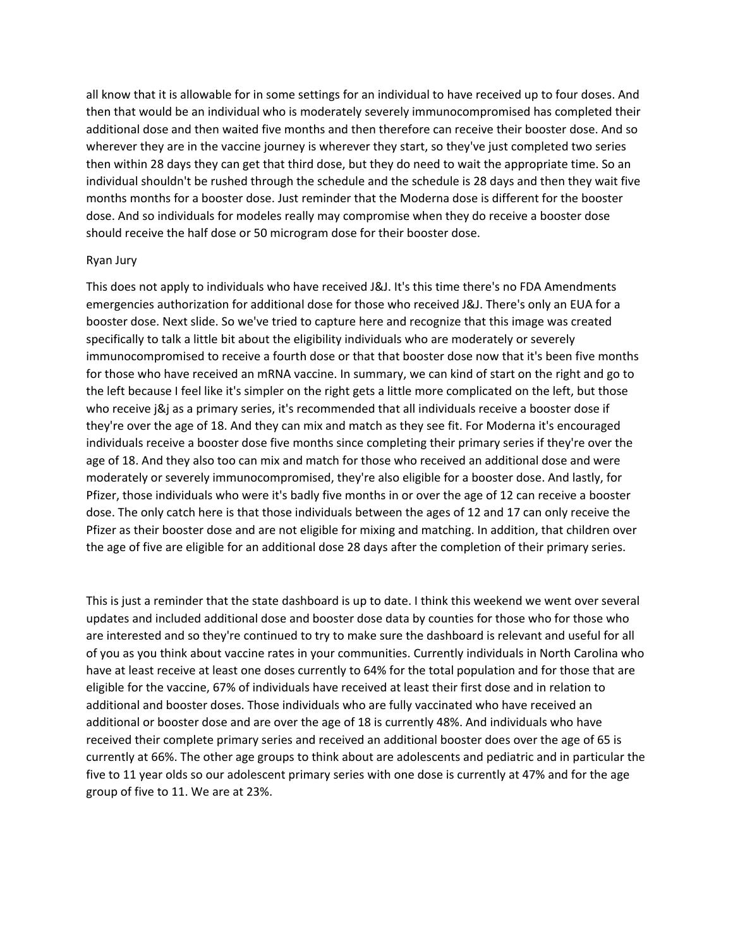all know that it is allowable for in some settings for an individual to have received up to four doses. And then that would be an individual who is moderately severely immunocompromised has completed their additional dose and then waited five months and then therefore can receive their booster dose. And so wherever they are in the vaccine journey is wherever they start, so they've just completed two series then within 28 days they can get that third dose, but they do need to wait the appropriate time. So an individual shouldn't be rushed through the schedule and the schedule is 28 days and then they wait five months months for a booster dose. Just reminder that the Moderna dose is different for the booster dose. And so individuals for modeles really may compromise when they do receive a booster dose should receive the half dose or 50 microgram dose for their booster dose.

#### Ryan Jury

This does not apply to individuals who have received J&J. It's this time there's no FDA Amendments emergencies authorization for additional dose for those who received J&J. There's only an EUA for a booster dose. Next slide. So we've tried to capture here and recognize that this image was created specifically to talk a little bit about the eligibility individuals who are moderately or severely immunocompromised to receive a fourth dose or that that booster dose now that it's been five months for those who have received an mRNA vaccine. In summary, we can kind of start on the right and go to the left because I feel like it's simpler on the right gets a little more complicated on the left, but those who receive j&j as a primary series, it's recommended that all individuals receive a booster dose if they're over the age of 18. And they can mix and match as they see fit. For Moderna it's encouraged individuals receive a booster dose five months since completing their primary series if they're over the age of 18. And they also too can mix and match for those who received an additional dose and were moderately or severely immunocompromised, they're also eligible for a booster dose. And lastly, for Pfizer, those individuals who were it's badly five months in or over the age of 12 can receive a booster dose. The only catch here is that those individuals between the ages of 12 and 17 can only receive the Pfizer as their booster dose and are not eligible for mixing and matching. In addition, that children over the age of five are eligible for an additional dose 28 days after the completion of their primary series.

This is just a reminder that the state dashboard is up to date. I think this weekend we went over several updates and included additional dose and booster dose data by counties for those who for those who are interested and so they're continued to try to make sure the dashboard is relevant and useful for all of you as you think about vaccine rates in your communities. Currently individuals in North Carolina who have at least receive at least one doses currently to 64% for the total population and for those that are eligible for the vaccine, 67% of individuals have received at least their first dose and in relation to additional and booster doses. Those individuals who are fully vaccinated who have received an additional or booster dose and are over the age of 18 is currently 48%. And individuals who have received their complete primary series and received an additional booster does over the age of 65 is currently at 66%. The other age groups to think about are adolescents and pediatric and in particular the five to 11 year olds so our adolescent primary series with one dose is currently at 47% and for the age group of five to 11. We are at 23%.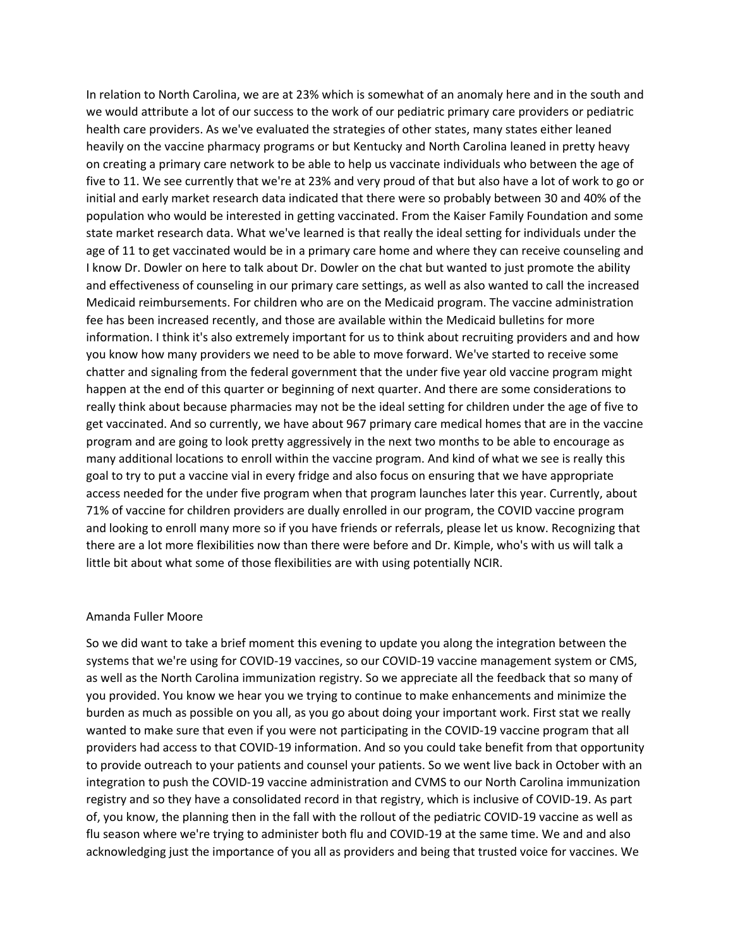In relation to North Carolina, we are at 23% which is somewhat of an anomaly here and in the south and we would attribute a lot of our success to the work of our pediatric primary care providers or pediatric health care providers. As we've evaluated the strategies of other states, many states either leaned heavily on the vaccine pharmacy programs or but Kentucky and North Carolina leaned in pretty heavy on creating a primary care network to be able to help us vaccinate individuals who between the age of five to 11. We see currently that we're at 23% and very proud of that but also have a lot of work to go or initial and early market research data indicated that there were so probably between 30 and 40% of the population who would be interested in getting vaccinated. From the Kaiser Family Foundation and some state market research data. What we've learned is that really the ideal setting for individuals under the age of 11 to get vaccinated would be in a primary care home and where they can receive counseling and I know Dr. Dowler on here to talk about Dr. Dowler on the chat but wanted to just promote the ability and effectiveness of counseling in our primary care settings, as well as also wanted to call the increased Medicaid reimbursements. For children who are on the Medicaid program. The vaccine administration fee has been increased recently, and those are available within the Medicaid bulletins for more information. I think it's also extremely important for us to think about recruiting providers and and how you know how many providers we need to be able to move forward. We've started to receive some chatter and signaling from the federal government that the under five year old vaccine program might happen at the end of this quarter or beginning of next quarter. And there are some considerations to really think about because pharmacies may not be the ideal setting for children under the age of five to get vaccinated. And so currently, we have about 967 primary care medical homes that are in the vaccine program and are going to look pretty aggressively in the next two months to be able to encourage as many additional locations to enroll within the vaccine program. And kind of what we see is really this goal to try to put a vaccine vial in every fridge and also focus on ensuring that we have appropriate access needed for the under five program when that program launches later this year. Currently, about 71% of vaccine for children providers are dually enrolled in our program, the COVID vaccine program and looking to enroll many more so if you have friends or referrals, please let us know. Recognizing that there are a lot more flexibilities now than there were before and Dr. Kimple, who's with us will talk a little bit about what some of those flexibilities are with using potentially NCIR.

#### Amanda Fuller Moore

So we did want to take a brief moment this evening to update you along the integration between the systems that we're using for COVID-19 vaccines, so our COVID-19 vaccine management system or CMS, as well as the North Carolina immunization registry. So we appreciate all the feedback that so many of you provided. You know we hear you we trying to continue to make enhancements and minimize the burden as much as possible on you all, as you go about doing your important work. First stat we really wanted to make sure that even if you were not participating in the COVID-19 vaccine program that all providers had access to that COVID-19 information. And so you could take benefit from that opportunity to provide outreach to your patients and counsel your patients. So we went live back in October with an integration to push the COVID-19 vaccine administration and CVMS to our North Carolina immunization registry and so they have a consolidated record in that registry, which is inclusive of COVID-19. As part of, you know, the planning then in the fall with the rollout of the pediatric COVID-19 vaccine as well as flu season where we're trying to administer both flu and COVID-19 at the same time. We and and also acknowledging just the importance of you all as providers and being that trusted voice for vaccines. We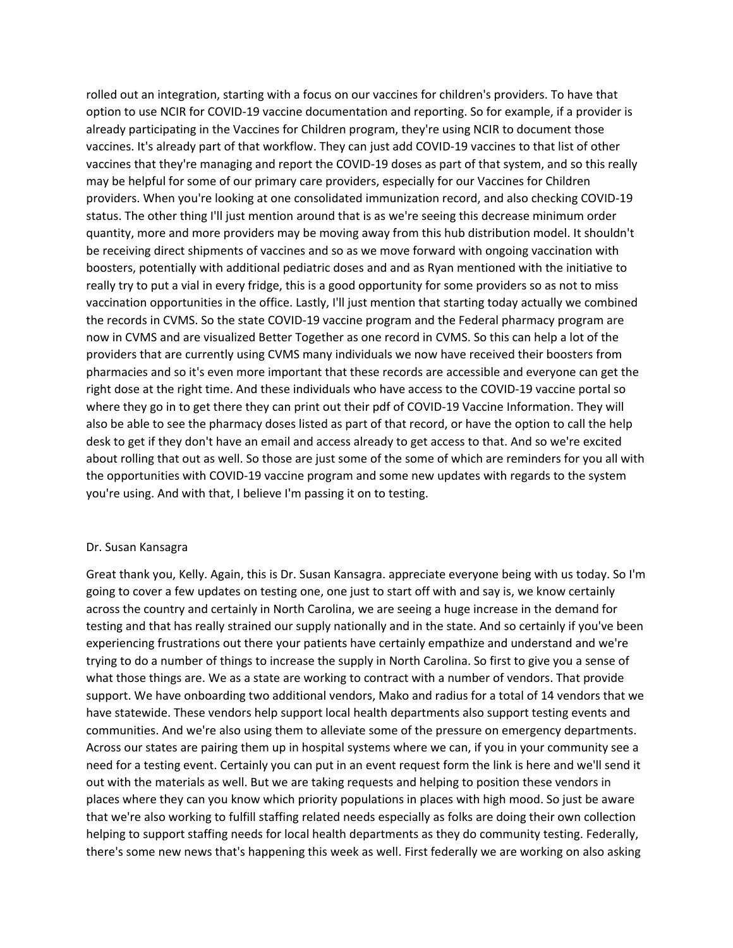rolled out an integration, starting with a focus on our vaccines for children's providers. To have that option to use NCIR for COVID-19 vaccine documentation and reporting. So for example, if a provider is already participating in the Vaccines for Children program, they're using NCIR to document those vaccines. It's already part of that workflow. They can just add COVID-19 vaccines to that list of other vaccines that they're managing and report the COVID-19 doses as part of that system, and so this really may be helpful for some of our primary care providers, especially for our Vaccines for Children providers. When you're looking at one consolidated immunization record, and also checking COVID-19 status. The other thing I'll just mention around that is as we're seeing this decrease minimum order quantity, more and more providers may be moving away from this hub distribution model. It shouldn't be receiving direct shipments of vaccines and so as we move forward with ongoing vaccination with boosters, potentially with additional pediatric doses and and as Ryan mentioned with the initiative to really try to put a vial in every fridge, this is a good opportunity for some providers so as not to miss vaccination opportunities in the office. Lastly, I'll just mention that starting today actually we combined the records in CVMS. So the state COVID-19 vaccine program and the Federal pharmacy program are now in CVMS and are visualized Better Together as one record in CVMS. So this can help a lot of the providers that are currently using CVMS many individuals we now have received their boosters from pharmacies and so it's even more important that these records are accessible and everyone can get the right dose at the right time. And these individuals who have access to the COVID-19 vaccine portal so where they go in to get there they can print out their pdf of COVID-19 Vaccine Information. They will also be able to see the pharmacy doses listed as part of that record, or have the option to call the help desk to get if they don't have an email and access already to get access to that. And so we're excited about rolling that out as well. So those are just some of the some of which are reminders for you all with the opportunities with COVID-19 vaccine program and some new updates with regards to the system you're using. And with that, I believe I'm passing it on to testing.

### Dr. Susan Kansagra

Great thank you, Kelly. Again, this is Dr. Susan Kansagra. appreciate everyone being with us today. So I'm going to cover a few updates on testing one, one just to start off with and say is, we know certainly across the country and certainly in North Carolina, we are seeing a huge increase in the demand for testing and that has really strained our supply nationally and in the state. And so certainly if you've been experiencing frustrations out there your patients have certainly empathize and understand and we're trying to do a number of things to increase the supply in North Carolina. So first to give you a sense of what those things are. We as a state are working to contract with a number of vendors. That provide support. We have onboarding two additional vendors, Mako and radius for a total of 14 vendors that we have statewide. These vendors help support local health departments also support testing events and communities. And we're also using them to alleviate some of the pressure on emergency departments. Across our states are pairing them up in hospital systems where we can, if you in your community see a need for a testing event. Certainly you can put in an event request form the link is here and we'll send it out with the materials as well. But we are taking requests and helping to position these vendors in places where they can you know which priority populations in places with high mood. So just be aware that we're also working to fulfill staffing related needs especially as folks are doing their own collection helping to support staffing needs for local health departments as they do community testing. Federally, there's some new news that's happening this week as well. First federally we are working on also asking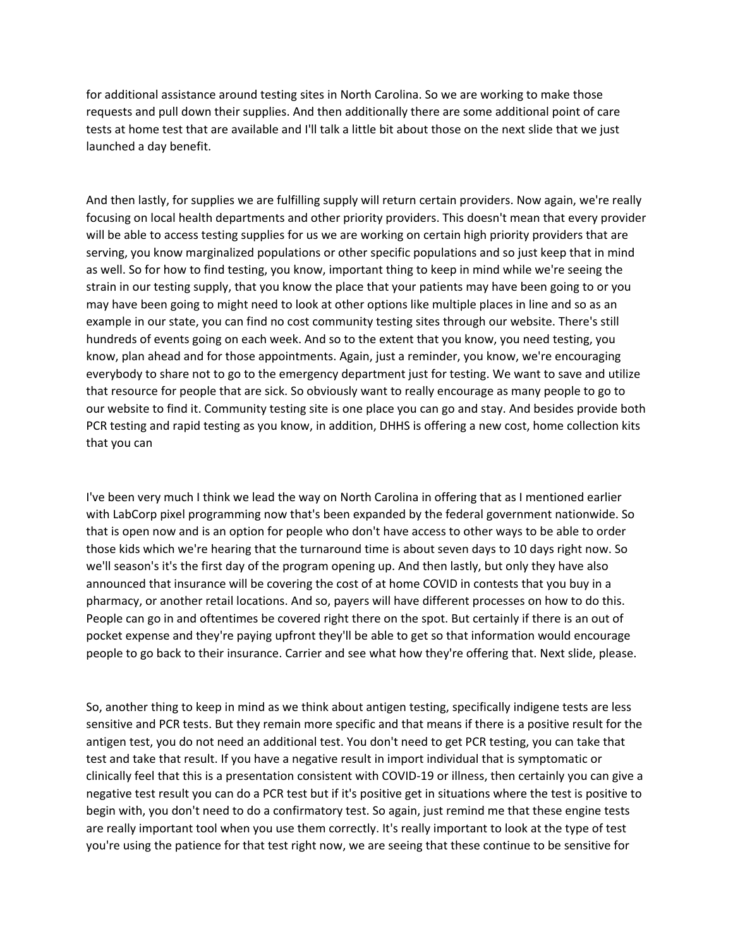for additional assistance around testing sites in North Carolina. So we are working to make those requests and pull down their supplies. And then additionally there are some additional point of care tests at home test that are available and I'll talk a little bit about those on the next slide that we just launched a day benefit.

And then lastly, for supplies we are fulfilling supply will return certain providers. Now again, we're really focusing on local health departments and other priority providers. This doesn't mean that every provider will be able to access testing supplies for us we are working on certain high priority providers that are serving, you know marginalized populations or other specific populations and so just keep that in mind as well. So for how to find testing, you know, important thing to keep in mind while we're seeing the strain in our testing supply, that you know the place that your patients may have been going to or you may have been going to might need to look at other options like multiple places in line and so as an example in our state, you can find no cost community testing sites through our website. There's still hundreds of events going on each week. And so to the extent that you know, you need testing, you know, plan ahead and for those appointments. Again, just a reminder, you know, we're encouraging everybody to share not to go to the emergency department just for testing. We want to save and utilize that resource for people that are sick. So obviously want to really encourage as many people to go to our website to find it. Community testing site is one place you can go and stay. And besides provide both PCR testing and rapid testing as you know, in addition, DHHS is offering a new cost, home collection kits that you can

I've been very much I think we lead the way on North Carolina in offering that as I mentioned earlier with LabCorp pixel programming now that's been expanded by the federal government nationwide. So that is open now and is an option for people who don't have access to other ways to be able to order those kids which we're hearing that the turnaround time is about seven days to 10 days right now. So we'll season's it's the first day of the program opening up. And then lastly, but only they have also announced that insurance will be covering the cost of at home COVID in contests that you buy in a pharmacy, or another retail locations. And so, payers will have different processes on how to do this. People can go in and oftentimes be covered right there on the spot. But certainly if there is an out of pocket expense and they're paying upfront they'll be able to get so that information would encourage people to go back to their insurance. Carrier and see what how they're offering that. Next slide, please.

So, another thing to keep in mind as we think about antigen testing, specifically indigene tests are less sensitive and PCR tests. But they remain more specific and that means if there is a positive result for the antigen test, you do not need an additional test. You don't need to get PCR testing, you can take that test and take that result. If you have a negative result in import individual that is symptomatic or clinically feel that this is a presentation consistent with COVID-19 or illness, then certainly you can give a negative test result you can do a PCR test but if it's positive get in situations where the test is positive to begin with, you don't need to do a confirmatory test. So again, just remind me that these engine tests are really important tool when you use them correctly. It's really important to look at the type of test you're using the patience for that test right now, we are seeing that these continue to be sensitive for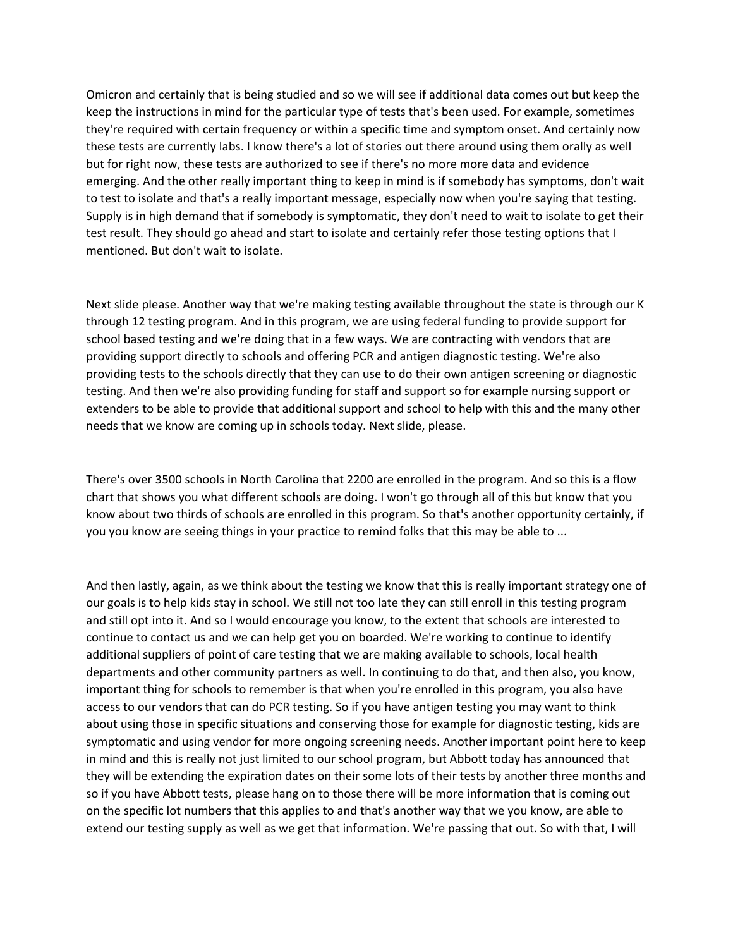Omicron and certainly that is being studied and so we will see if additional data comes out but keep the keep the instructions in mind for the particular type of tests that's been used. For example, sometimes they're required with certain frequency or within a specific time and symptom onset. And certainly now these tests are currently labs. I know there's a lot of stories out there around using them orally as well but for right now, these tests are authorized to see if there's no more more data and evidence emerging. And the other really important thing to keep in mind is if somebody has symptoms, don't wait to test to isolate and that's a really important message, especially now when you're saying that testing. Supply is in high demand that if somebody is symptomatic, they don't need to wait to isolate to get their test result. They should go ahead and start to isolate and certainly refer those testing options that I mentioned. But don't wait to isolate.

Next slide please. Another way that we're making testing available throughout the state is through our K through 12 testing program. And in this program, we are using federal funding to provide support for school based testing and we're doing that in a few ways. We are contracting with vendors that are providing support directly to schools and offering PCR and antigen diagnostic testing. We're also providing tests to the schools directly that they can use to do their own antigen screening or diagnostic testing. And then we're also providing funding for staff and support so for example nursing support or extenders to be able to provide that additional support and school to help with this and the many other needs that we know are coming up in schools today. Next slide, please.

There's over 3500 schools in North Carolina that 2200 are enrolled in the program. And so this is a flow chart that shows you what different schools are doing. I won't go through all of this but know that you know about two thirds of schools are enrolled in this program. So that's another opportunity certainly, if you you know are seeing things in your practice to remind folks that this may be able to ...

And then lastly, again, as we think about the testing we know that this is really important strategy one of our goals is to help kids stay in school. We still not too late they can still enroll in this testing program and still opt into it. And so I would encourage you know, to the extent that schools are interested to continue to contact us and we can help get you on boarded. We're working to continue to identify additional suppliers of point of care testing that we are making available to schools, local health departments and other community partners as well. In continuing to do that, and then also, you know, important thing for schools to remember is that when you're enrolled in this program, you also have access to our vendors that can do PCR testing. So if you have antigen testing you may want to think about using those in specific situations and conserving those for example for diagnostic testing, kids are symptomatic and using vendor for more ongoing screening needs. Another important point here to keep in mind and this is really not just limited to our school program, but Abbott today has announced that they will be extending the expiration dates on their some lots of their tests by another three months and so if you have Abbott tests, please hang on to those there will be more information that is coming out on the specific lot numbers that this applies to and that's another way that we you know, are able to extend our testing supply as well as we get that information. We're passing that out. So with that, I will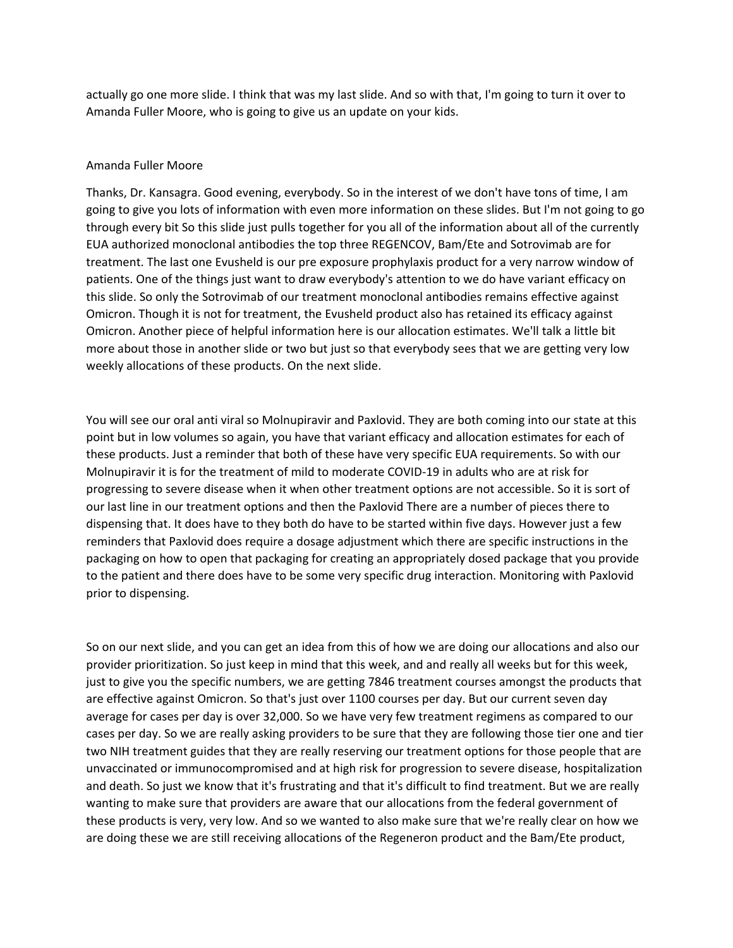actually go one more slide. I think that was my last slide. And so with that, I'm going to turn it over to Amanda Fuller Moore, who is going to give us an update on your kids.

### Amanda Fuller Moore

Thanks, Dr. Kansagra. Good evening, everybody. So in the interest of we don't have tons of time, I am going to give you lots of information with even more information on these slides. But I'm not going to go through every bit So this slide just pulls together for you all of the information about all of the currently EUA authorized monoclonal antibodies the top three REGENCOV, Bam/Ete and Sotrovimab are for treatment. The last one Evusheld is our pre exposure prophylaxis product for a very narrow window of patients. One of the things just want to draw everybody's attention to we do have variant efficacy on this slide. So only the Sotrovimab of our treatment monoclonal antibodies remains effective against Omicron. Though it is not for treatment, the Evusheld product also has retained its efficacy against Omicron. Another piece of helpful information here is our allocation estimates. We'll talk a little bit more about those in another slide or two but just so that everybody sees that we are getting very low weekly allocations of these products. On the next slide.

You will see our oral anti viral so Molnupiravir and Paxlovid. They are both coming into our state at this point but in low volumes so again, you have that variant efficacy and allocation estimates for each of these products. Just a reminder that both of these have very specific EUA requirements. So with our Molnupiravir it is for the treatment of mild to moderate COVID-19 in adults who are at risk for progressing to severe disease when it when other treatment options are not accessible. So it is sort of our last line in our treatment options and then the Paxlovid There are a number of pieces there to dispensing that. It does have to they both do have to be started within five days. However just a few reminders that Paxlovid does require a dosage adjustment which there are specific instructions in the packaging on how to open that packaging for creating an appropriately dosed package that you provide to the patient and there does have to be some very specific drug interaction. Monitoring with Paxlovid prior to dispensing.

So on our next slide, and you can get an idea from this of how we are doing our allocations and also our provider prioritization. So just keep in mind that this week, and and really all weeks but for this week, just to give you the specific numbers, we are getting 7846 treatment courses amongst the products that are effective against Omicron. So that's just over 1100 courses per day. But our current seven day average for cases per day is over 32,000. So we have very few treatment regimens as compared to our cases per day. So we are really asking providers to be sure that they are following those tier one and tier two NIH treatment guides that they are really reserving our treatment options for those people that are unvaccinated or immunocompromised and at high risk for progression to severe disease, hospitalization and death. So just we know that it's frustrating and that it's difficult to find treatment. But we are really wanting to make sure that providers are aware that our allocations from the federal government of these products is very, very low. And so we wanted to also make sure that we're really clear on how we are doing these we are still receiving allocations of the Regeneron product and the Bam/Ete product,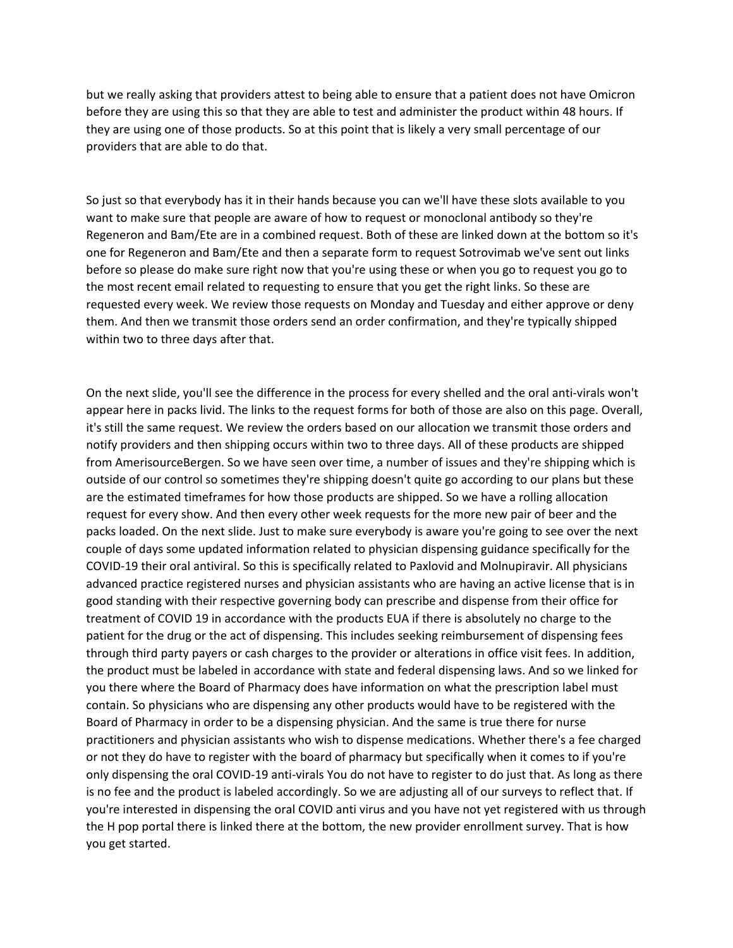but we really asking that providers attest to being able to ensure that a patient does not have Omicron before they are using this so that they are able to test and administer the product within 48 hours. If they are using one of those products. So at this point that is likely a very small percentage of our providers that are able to do that.

So just so that everybody has it in their hands because you can we'll have these slots available to you want to make sure that people are aware of how to request or monoclonal antibody so they're Regeneron and Bam/Ete are in a combined request. Both of these are linked down at the bottom so it's one for Regeneron and Bam/Ete and then a separate form to request Sotrovimab we've sent out links before so please do make sure right now that you're using these or when you go to request you go to the most recent email related to requesting to ensure that you get the right links. So these are requested every week. We review those requests on Monday and Tuesday and either approve or deny them. And then we transmit those orders send an order confirmation, and they're typically shipped within two to three days after that.

On the next slide, you'll see the difference in the process for every shelled and the oral anti-virals won't appear here in packs livid. The links to the request forms for both of those are also on this page. Overall, it's still the same request. We review the orders based on our allocation we transmit those orders and notify providers and then shipping occurs within two to three days. All of these products are shipped from AmerisourceBergen. So we have seen over time, a number of issues and they're shipping which is outside of our control so sometimes they're shipping doesn't quite go according to our plans but these are the estimated timeframes for how those products are shipped. So we have a rolling allocation request for every show. And then every other week requests for the more new pair of beer and the packs loaded. On the next slide. Just to make sure everybody is aware you're going to see over the next couple of days some updated information related to physician dispensing guidance specifically for the COVID-19 their oral antiviral. So this is specifically related to Paxlovid and Molnupiravir. All physicians advanced practice registered nurses and physician assistants who are having an active license that is in good standing with their respective governing body can prescribe and dispense from their office for treatment of COVID 19 in accordance with the products EUA if there is absolutely no charge to the patient for the drug or the act of dispensing. This includes seeking reimbursement of dispensing fees through third party payers or cash charges to the provider or alterations in office visit fees. In addition, the product must be labeled in accordance with state and federal dispensing laws. And so we linked for you there where the Board of Pharmacy does have information on what the prescription label must contain. So physicians who are dispensing any other products would have to be registered with the Board of Pharmacy in order to be a dispensing physician. And the same is true there for nurse practitioners and physician assistants who wish to dispense medications. Whether there's a fee charged or not they do have to register with the board of pharmacy but specifically when it comes to if you're only dispensing the oral COVID-19 anti-virals You do not have to register to do just that. As long as there is no fee and the product is labeled accordingly. So we are adjusting all of our surveys to reflect that. If you're interested in dispensing the oral COVID anti virus and you have not yet registered with us through the H pop portal there is linked there at the bottom, the new provider enrollment survey. That is how you get started.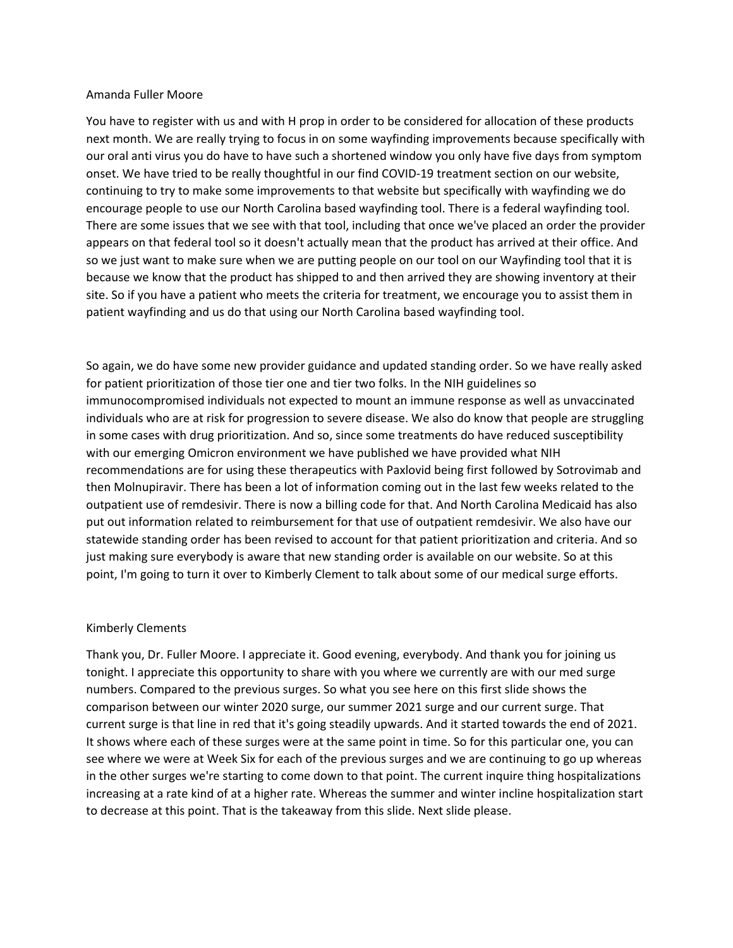### Amanda Fuller Moore

You have to register with us and with H prop in order to be considered for allocation of these products next month. We are really trying to focus in on some wayfinding improvements because specifically with our oral anti virus you do have to have such a shortened window you only have five days from symptom onset. We have tried to be really thoughtful in our find COVID-19 treatment section on our website, continuing to try to make some improvements to that website but specifically with wayfinding we do encourage people to use our North Carolina based wayfinding tool. There is a federal wayfinding tool. There are some issues that we see with that tool, including that once we've placed an order the provider appears on that federal tool so it doesn't actually mean that the product has arrived at their office. And so we just want to make sure when we are putting people on our tool on our Wayfinding tool that it is because we know that the product has shipped to and then arrived they are showing inventory at their site. So if you have a patient who meets the criteria for treatment, we encourage you to assist them in patient wayfinding and us do that using our North Carolina based wayfinding tool.

So again, we do have some new provider guidance and updated standing order. So we have really asked for patient prioritization of those tier one and tier two folks. In the NIH guidelines so immunocompromised individuals not expected to mount an immune response as well as unvaccinated individuals who are at risk for progression to severe disease. We also do know that people are struggling in some cases with drug prioritization. And so, since some treatments do have reduced susceptibility with our emerging Omicron environment we have published we have provided what NIH recommendations are for using these therapeutics with Paxlovid being first followed by Sotrovimab and then Molnupiravir. There has been a lot of information coming out in the last few weeks related to the outpatient use of remdesivir. There is now a billing code for that. And North Carolina Medicaid has also put out information related to reimbursement for that use of outpatient remdesivir. We also have our statewide standing order has been revised to account for that patient prioritization and criteria. And so just making sure everybody is aware that new standing order is available on our website. So at this point, I'm going to turn it over to Kimberly Clement to talk about some of our medical surge efforts.

## Kimberly Clements

Thank you, Dr. Fuller Moore. I appreciate it. Good evening, everybody. And thank you for joining us tonight. I appreciate this opportunity to share with you where we currently are with our med surge numbers. Compared to the previous surges. So what you see here on this first slide shows the comparison between our winter 2020 surge, our summer 2021 surge and our current surge. That current surge is that line in red that it's going steadily upwards. And it started towards the end of 2021. It shows where each of these surges were at the same point in time. So for this particular one, you can see where we were at Week Six for each of the previous surges and we are continuing to go up whereas in the other surges we're starting to come down to that point. The current inquire thing hospitalizations increasing at a rate kind of at a higher rate. Whereas the summer and winter incline hospitalization start to decrease at this point. That is the takeaway from this slide. Next slide please.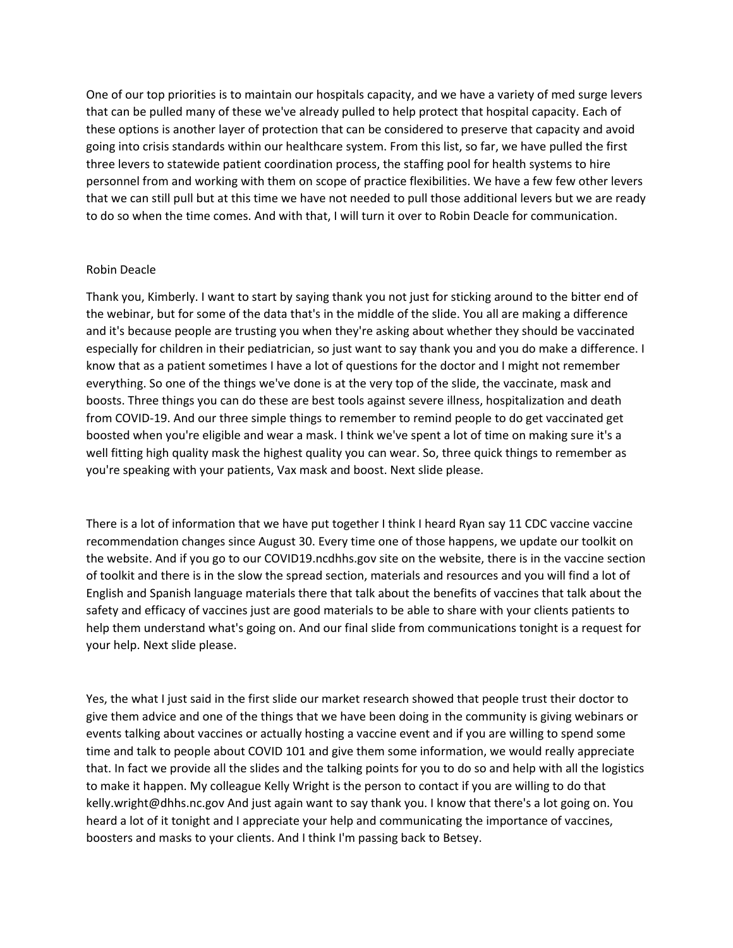One of our top priorities is to maintain our hospitals capacity, and we have a variety of med surge levers that can be pulled many of these we've already pulled to help protect that hospital capacity. Each of these options is another layer of protection that can be considered to preserve that capacity and avoid going into crisis standards within our healthcare system. From this list, so far, we have pulled the first three levers to statewide patient coordination process, the staffing pool for health systems to hire personnel from and working with them on scope of practice flexibilities. We have a few few other levers that we can still pull but at this time we have not needed to pull those additional levers but we are ready to do so when the time comes. And with that, I will turn it over to Robin Deacle for communication.

# Robin Deacle

Thank you, Kimberly. I want to start by saying thank you not just for sticking around to the bitter end of the webinar, but for some of the data that's in the middle of the slide. You all are making a difference and it's because people are trusting you when they're asking about whether they should be vaccinated especially for children in their pediatrician, so just want to say thank you and you do make a difference. I know that as a patient sometimes I have a lot of questions for the doctor and I might not remember everything. So one of the things we've done is at the very top of the slide, the vaccinate, mask and boosts. Three things you can do these are best tools against severe illness, hospitalization and death from COVID-19. And our three simple things to remember to remind people to do get vaccinated get boosted when you're eligible and wear a mask. I think we've spent a lot of time on making sure it's a well fitting high quality mask the highest quality you can wear. So, three quick things to remember as you're speaking with your patients, Vax mask and boost. Next slide please.

There is a lot of information that we have put together I think I heard Ryan say 11 CDC vaccine vaccine recommendation changes since August 30. Every time one of those happens, we update our toolkit on the website. And if you go to our COVID19.ncdhhs.gov site on the website, there is in the vaccine section of toolkit and there is in the slow the spread section, materials and resources and you will find a lot of English and Spanish language materials there that talk about the benefits of vaccines that talk about the safety and efficacy of vaccines just are good materials to be able to share with your clients patients to help them understand what's going on. And our final slide from communications tonight is a request for your help. Next slide please.

Yes, the what I just said in the first slide our market research showed that people trust their doctor to give them advice and one of the things that we have been doing in the community is giving webinars or events talking about vaccines or actually hosting a vaccine event and if you are willing to spend some time and talk to people about COVID 101 and give them some information, we would really appreciate that. In fact we provide all the slides and the talking points for you to do so and help with all the logistics to make it happen. My colleague Kelly Wright is the person to contact if you are willing to do that kelly.wright@dhhs.nc.gov And just again want to say thank you. I know that there's a lot going on. You heard a lot of it tonight and I appreciate your help and communicating the importance of vaccines, boosters and masks to your clients. And I think I'm passing back to Betsey.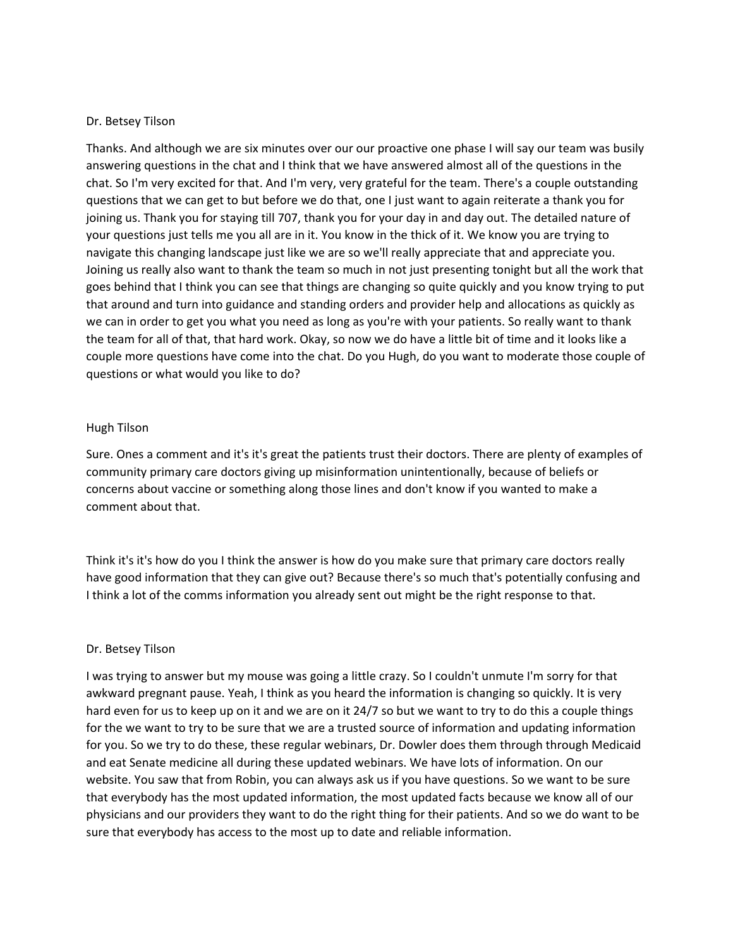# Dr. Betsey Tilson

Thanks. And although we are six minutes over our our proactive one phase I will say our team was busily answering questions in the chat and I think that we have answered almost all of the questions in the chat. So I'm very excited for that. And I'm very, very grateful for the team. There's a couple outstanding questions that we can get to but before we do that, one I just want to again reiterate a thank you for joining us. Thank you for staying till 707, thank you for your day in and day out. The detailed nature of your questions just tells me you all are in it. You know in the thick of it. We know you are trying to navigate this changing landscape just like we are so we'll really appreciate that and appreciate you. Joining us really also want to thank the team so much in not just presenting tonight but all the work that goes behind that I think you can see that things are changing so quite quickly and you know trying to put that around and turn into guidance and standing orders and provider help and allocations as quickly as we can in order to get you what you need as long as you're with your patients. So really want to thank the team for all of that, that hard work. Okay, so now we do have a little bit of time and it looks like a couple more questions have come into the chat. Do you Hugh, do you want to moderate those couple of questions or what would you like to do?

# Hugh Tilson

Sure. Ones a comment and it's it's great the patients trust their doctors. There are plenty of examples of community primary care doctors giving up misinformation unintentionally, because of beliefs or concerns about vaccine or something along those lines and don't know if you wanted to make a comment about that.

Think it's it's how do you I think the answer is how do you make sure that primary care doctors really have good information that they can give out? Because there's so much that's potentially confusing and I think a lot of the comms information you already sent out might be the right response to that.

## Dr. Betsey Tilson

I was trying to answer but my mouse was going a little crazy. So I couldn't unmute I'm sorry for that awkward pregnant pause. Yeah, I think as you heard the information is changing so quickly. It is very hard even for us to keep up on it and we are on it 24/7 so but we want to try to do this a couple things for the we want to try to be sure that we are a trusted source of information and updating information for you. So we try to do these, these regular webinars, Dr. Dowler does them through through Medicaid and eat Senate medicine all during these updated webinars. We have lots of information. On our website. You saw that from Robin, you can always ask us if you have questions. So we want to be sure that everybody has the most updated information, the most updated facts because we know all of our physicians and our providers they want to do the right thing for their patients. And so we do want to be sure that everybody has access to the most up to date and reliable information.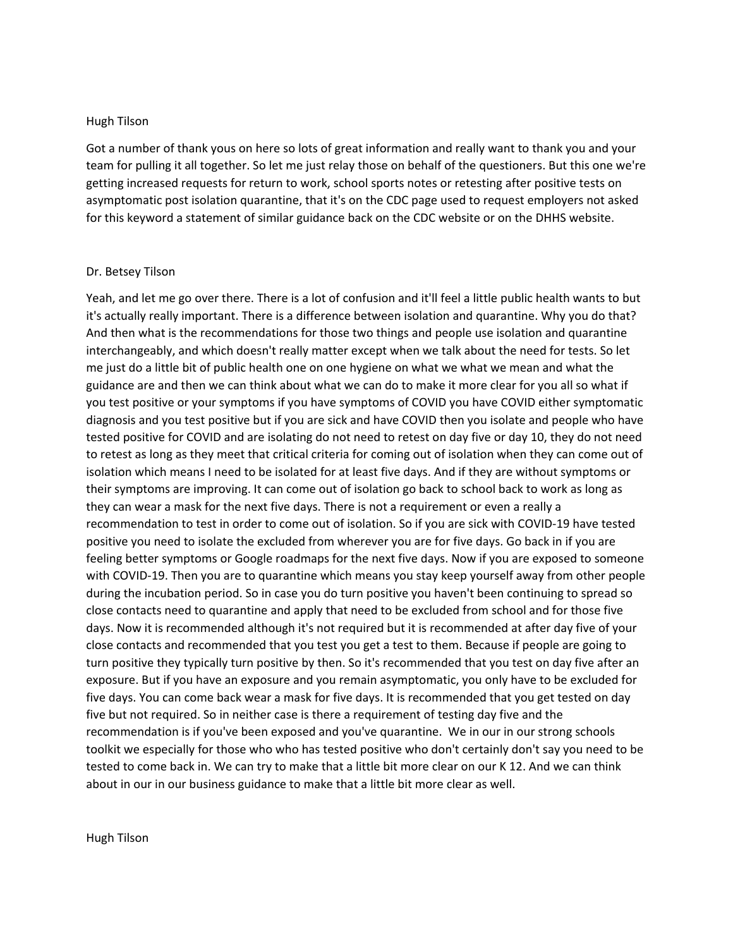### Hugh Tilson

Got a number of thank yous on here so lots of great information and really want to thank you and your team for pulling it all together. So let me just relay those on behalf of the questioners. But this one we're getting increased requests for return to work, school sports notes or retesting after positive tests on asymptomatic post isolation quarantine, that it's on the CDC page used to request employers not asked for this keyword a statement of similar guidance back on the CDC website or on the DHHS website.

#### Dr. Betsey Tilson

Yeah, and let me go over there. There is a lot of confusion and it'll feel a little public health wants to but it's actually really important. There is a difference between isolation and quarantine. Why you do that? And then what is the recommendations for those two things and people use isolation and quarantine interchangeably, and which doesn't really matter except when we talk about the need for tests. So let me just do a little bit of public health one on one hygiene on what we what we mean and what the guidance are and then we can think about what we can do to make it more clear for you all so what if you test positive or your symptoms if you have symptoms of COVID you have COVID either symptomatic diagnosis and you test positive but if you are sick and have COVID then you isolate and people who have tested positive for COVID and are isolating do not need to retest on day five or day 10, they do not need to retest as long as they meet that critical criteria for coming out of isolation when they can come out of isolation which means I need to be isolated for at least five days. And if they are without symptoms or their symptoms are improving. It can come out of isolation go back to school back to work as long as they can wear a mask for the next five days. There is not a requirement or even a really a recommendation to test in order to come out of isolation. So if you are sick with COVID-19 have tested positive you need to isolate the excluded from wherever you are for five days. Go back in if you are feeling better symptoms or Google roadmaps for the next five days. Now if you are exposed to someone with COVID-19. Then you are to quarantine which means you stay keep yourself away from other people during the incubation period. So in case you do turn positive you haven't been continuing to spread so close contacts need to quarantine and apply that need to be excluded from school and for those five days. Now it is recommended although it's not required but it is recommended at after day five of your close contacts and recommended that you test you get a test to them. Because if people are going to turn positive they typically turn positive by then. So it's recommended that you test on day five after an exposure. But if you have an exposure and you remain asymptomatic, you only have to be excluded for five days. You can come back wear a mask for five days. It is recommended that you get tested on day five but not required. So in neither case is there a requirement of testing day five and the recommendation is if you've been exposed and you've quarantine. We in our in our strong schools toolkit we especially for those who who has tested positive who don't certainly don't say you need to be tested to come back in. We can try to make that a little bit more clear on our K 12. And we can think about in our in our business guidance to make that a little bit more clear as well.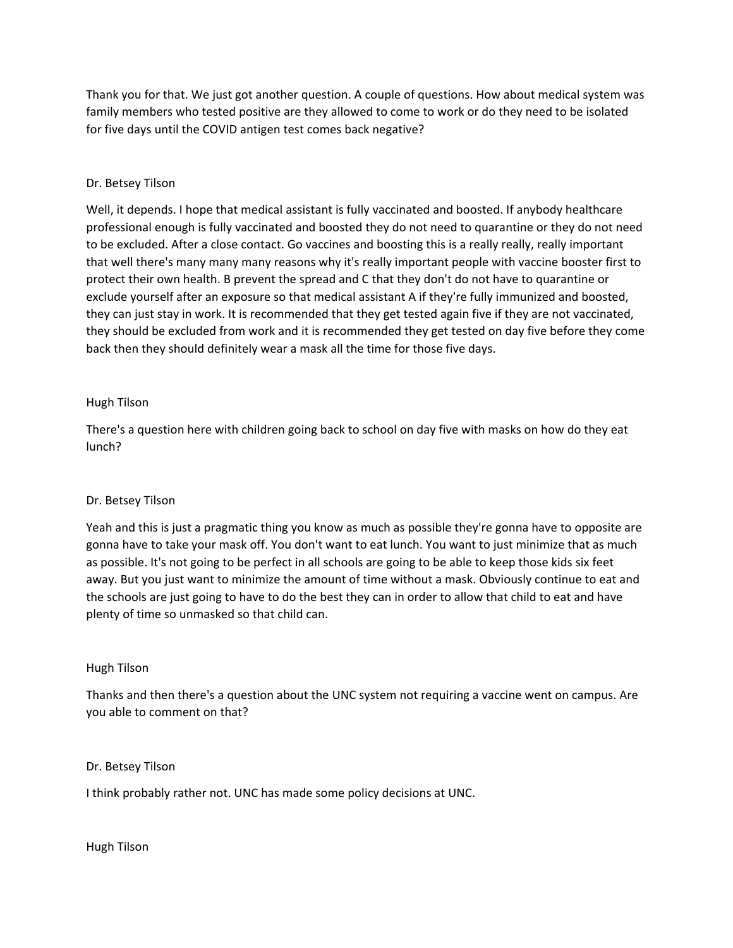Thank you for that. We just got another question. A couple of questions. How about medical system was family members who tested positive are they allowed to come to work or do they need to be isolated for five days until the COVID antigen test comes back negative?

# Dr. Betsey Tilson

Well, it depends. I hope that medical assistant is fully vaccinated and boosted. If anybody healthcare professional enough is fully vaccinated and boosted they do not need to quarantine or they do not need to be excluded. After a close contact. Go vaccines and boosting this is a really really, really important that well there's many many many reasons why it's really important people with vaccine booster first to protect their own health. B prevent the spread and C that they don't do not have to quarantine or exclude yourself after an exposure so that medical assistant A if they're fully immunized and boosted, they can just stay in work. It is recommended that they get tested again five if they are not vaccinated, they should be excluded from work and it is recommended they get tested on day five before they come back then they should definitely wear a mask all the time for those five days.

# Hugh Tilson

There's a question here with children going back to school on day five with masks on how do they eat lunch?

# Dr. Betsey Tilson

Yeah and this is just a pragmatic thing you know as much as possible they're gonna have to opposite are gonna have to take your mask off. You don't want to eat lunch. You want to just minimize that as much as possible. It's not going to be perfect in all schools are going to be able to keep those kids six feet away. But you just want to minimize the amount of time without a mask. Obviously continue to eat and the schools are just going to have to do the best they can in order to allow that child to eat and have plenty of time so unmasked so that child can.

# Hugh Tilson

Thanks and then there's a question about the UNC system not requiring a vaccine went on campus. Are you able to comment on that?

Dr. Betsey Tilson

I think probably rather not. UNC has made some policy decisions at UNC.

Hugh Tilson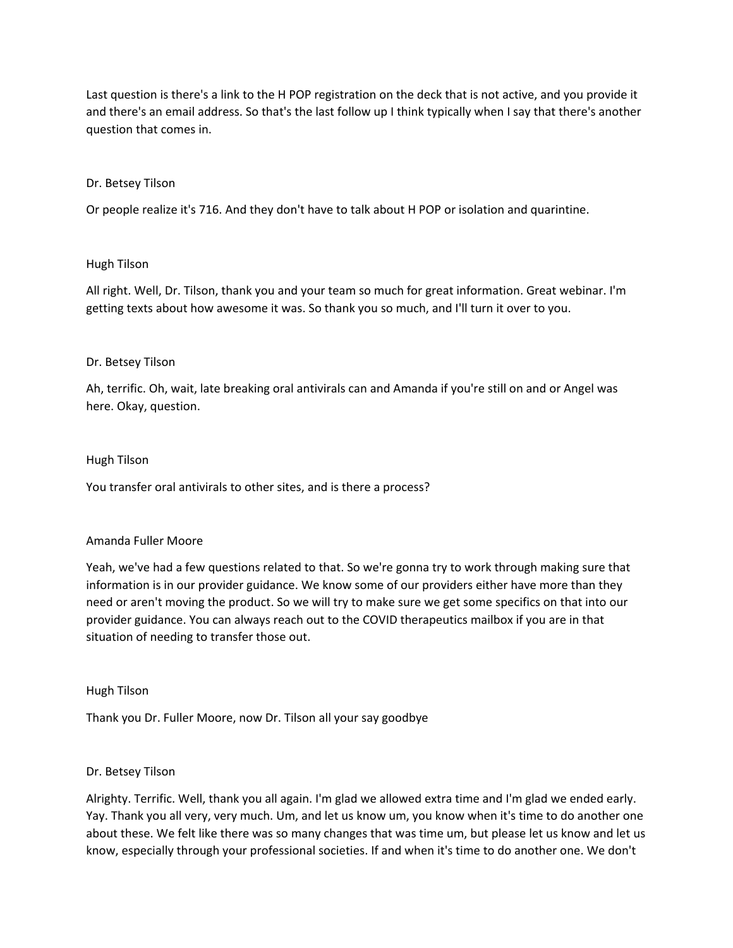Last question is there's a link to the H POP registration on the deck that is not active, and you provide it and there's an email address. So that's the last follow up I think typically when I say that there's another question that comes in.

# Dr. Betsey Tilson

Or people realize it's 716. And they don't have to talk about H POP or isolation and quarintine.

# Hugh Tilson

All right. Well, Dr. Tilson, thank you and your team so much for great information. Great webinar. I'm getting texts about how awesome it was. So thank you so much, and I'll turn it over to you.

# Dr. Betsey Tilson

Ah, terrific. Oh, wait, late breaking oral antivirals can and Amanda if you're still on and or Angel was here. Okay, question.

## Hugh Tilson

You transfer oral antivirals to other sites, and is there a process?

## Amanda Fuller Moore

Yeah, we've had a few questions related to that. So we're gonna try to work through making sure that information is in our provider guidance. We know some of our providers either have more than they need or aren't moving the product. So we will try to make sure we get some specifics on that into our provider guidance. You can always reach out to the COVID therapeutics mailbox if you are in that situation of needing to transfer those out.

## Hugh Tilson

Thank you Dr. Fuller Moore, now Dr. Tilson all your say goodbye

## Dr. Betsey Tilson

Alrighty. Terrific. Well, thank you all again. I'm glad we allowed extra time and I'm glad we ended early. Yay. Thank you all very, very much. Um, and let us know um, you know when it's time to do another one about these. We felt like there was so many changes that was time um, but please let us know and let us know, especially through your professional societies. If and when it's time to do another one. We don't